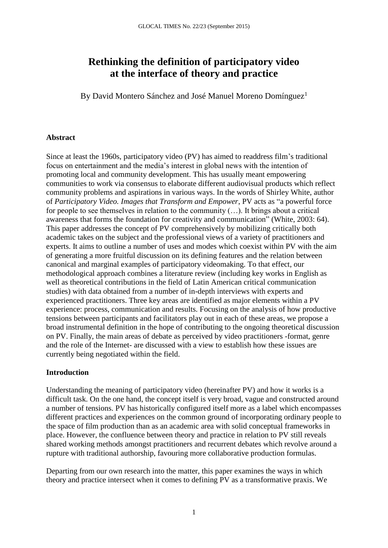# **Rethinking the definition of participatory video at the interface of theory and practice**

By David Montero Sánchez and José Manuel Moreno Domínguez<sup>1</sup>

# **Abstract**

Since at least the 1960s, participatory video (PV) has aimed to readdress film's traditional focus on entertainment and the media's interest in global news with the intention of promoting local and community development. This has usually meant empowering communities to work via consensus to elaborate different audiovisual products which reflect community problems and aspirations in various ways. In the words of Shirley White, author of *Participatory Video. Images that Transform and Empower*, PV acts as "a powerful force for people to see themselves in relation to the community (…). It brings about a critical awareness that forms the foundation for creativity and communication" (White, 2003: 64). This paper addresses the concept of PV comprehensively by mobilizing critically both academic takes on the subject and the professional views of a variety of practitioners and experts. It aims to outline a number of uses and modes which coexist within PV with the aim of generating a more fruitful discussion on its defining features and the relation between canonical and marginal examples of participatory videomaking. To that effect, our methodological approach combines a literature review (including key works in English as well as theoretical contributions in the field of Latin American critical communication studies) with data obtained from a number of in-depth interviews with experts and experienced practitioners. Three key areas are identified as major elements within a PV experience: process, communication and results. Focusing on the analysis of how productive tensions between participants and facilitators play out in each of these areas, we propose a broad instrumental definition in the hope of contributing to the ongoing theoretical discussion on PV. Finally, the main areas of debate as perceived by video practitioners -format, genre and the role of the Internet- are discussed with a view to establish how these issues are currently being negotiated within the field.

# **Introduction**

Understanding the meaning of participatory video (hereinafter PV) and how it works is a difficult task. On the one hand, the concept itself is very broad, vague and constructed around a number of tensions. PV has historically configured itself more as a label which encompasses different practices and experiences on the common ground of incorporating ordinary people to the space of film production than as an academic area with solid conceptual frameworks in place. However, the confluence between theory and practice in relation to PV still reveals shared working methods amongst practitioners and recurrent debates which revolve around a rupture with traditional authorship, favouring more collaborative production formulas.

Departing from our own research into the matter, this paper examines the ways in which theory and practice intersect when it comes to defining PV as a transformative praxis. We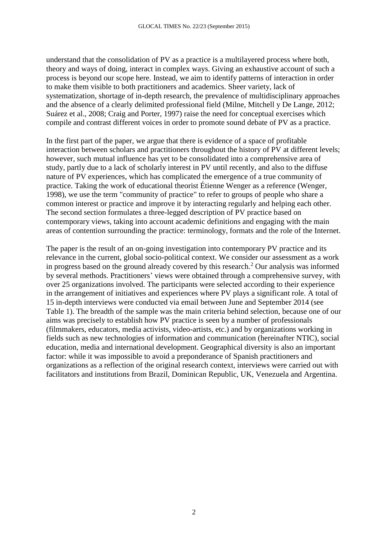understand that the consolidation of PV as a practice is a multilayered process where both, theory and ways of doing, interact in complex ways. Giving an exhaustive account of such a process is beyond our scope here. Instead, we aim to identify patterns of interaction in order to make them visible to both practitioners and academics. Sheer variety, lack of systematization, shortage of in-depth research, the prevalence of multidisciplinary approaches and the absence of a clearly delimited professional field (Milne, Mitchell y De Lange, 2012; Suárez et al., 2008; Craig and Porter, 1997) raise the need for conceptual exercises which compile and contrast different voices in order to promote sound debate of PV as a practice.

In the first part of the paper, we argue that there is evidence of a space of profitable interaction between scholars and practitioners throughout the history of PV at different levels; however, such mutual influence has yet to be consolidated into a comprehensive area of study, partly due to a lack of scholarly interest in PV until recently, and also to the diffuse nature of PV experiences, which has complicated the emergence of a true community of practice. Taking the work of educational theorist Étienne Wenger as a reference (Wenger, 1998), we use the term "community of practice" to refer to groups of people who share a common interest or practice and improve it by interacting regularly and helping each other. The second section formulates a three-legged description of PV practice based on contemporary views, taking into account academic definitions and engaging with the main areas of contention surrounding the practice: terminology, formats and the role of the Internet.

The paper is the result of an on-going investigation into contemporary PV practice and its relevance in the current, global socio-political context. We consider our assessment as a work in progress based on the ground already covered by this research.<sup>2</sup> Our analysis was informed by several methods. Practitioners' views were obtained through a comprehensive survey, with over 25 organizations involved. The participants were selected according to their experience in the arrangement of initiatives and experiences where PV plays a significant role. A total of 15 in-depth interviews were conducted via email between June and September 2014 (see Table 1). The breadth of the sample was the main criteria behind selection, because one of our aims was precisely to establish how PV practice is seen by a number of professionals (filmmakers, educators, media activists, video-artists, etc.) and by organizations working in fields such as new technologies of information and communication (hereinafter NTIC), social education, media and international development. Geographical diversity is also an important factor: while it was impossible to avoid a preponderance of Spanish practitioners and organizations as a reflection of the original research context, interviews were carried out with facilitators and institutions from Brazil, Dominican Republic, UK, Venezuela and Argentina.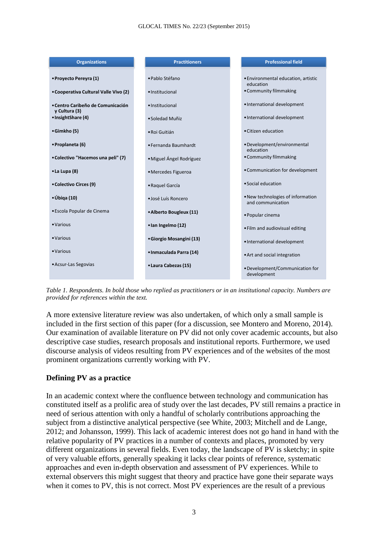

*Table 1. Respondents. In bold those who replied as practitioners or in an institutional capacity. Numbers are provided for references within the text.*

A more extensive literature review was also undertaken, of which only a small sample is included in the first section of this paper (for a discussion, see Montero and Moreno, 2014). Our examination of available literature on PV did not only cover academic accounts, but also descriptive case studies, research proposals and institutional reports. Furthermore, we used discourse analysis of videos resulting from PV experiences and of the websites of the most prominent organizations currently working with PV.

### **Defining PV as a practice**

In an academic context where the confluence between technology and communication has constituted itself as a prolific area of study over the last decades, PV still remains a practice in need of serious attention with only a handful of scholarly contributions approaching the subject from a distinctive analytical perspective (see White, 2003; Mitchell and de Lange, 2012; and Johansson, 1999). This lack of academic interest does not go hand in hand with the relative popularity of PV practices in a number of contexts and places, promoted by very different organizations in several fields. Even today, the landscape of PV is sketchy; in spite of very valuable efforts, generally speaking it lacks clear points of reference, systematic approaches and even in-depth observation and assessment of PV experiences. While to external observers this might suggest that theory and practice have gone their separate ways when it comes to PV, this is not correct. Most PV experiences are the result of a previous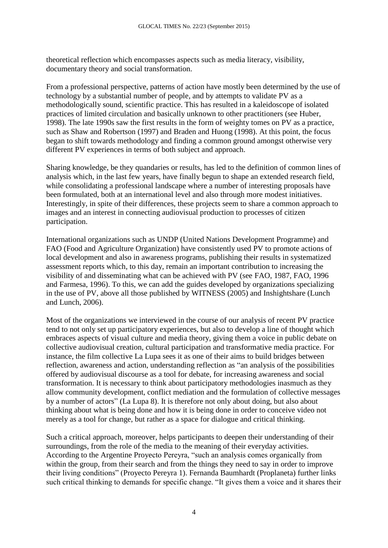theoretical reflection which encompasses aspects such as media literacy, visibility, documentary theory and social transformation.

From a professional perspective, patterns of action have mostly been determined by the use of technology by a substantial number of people, and by attempts to validate PV as a methodologically sound, scientific practice. This has resulted in a kaleidoscope of isolated practices of limited circulation and basically unknown to other practitioners (see Huber, 1998). The late 1990s saw the first results in the form of weighty tomes on PV as a practice, such as Shaw and Robertson (1997) and Braden and Huong (1998). At this point, the focus began to shift towards methodology and finding a common ground amongst otherwise very different PV experiences in terms of both subject and approach.

Sharing knowledge, be they quandaries or results, has led to the definition of common lines of analysis which, in the last few years, have finally begun to shape an extended research field, while consolidating a professional landscape where a number of interesting proposals have been formulated, both at an international level and also through more modest initiatives. Interestingly, in spite of their differences, these projects seem to share a common approach to images and an interest in connecting audiovisual production to processes of citizen participation.

International organizations such as UNDP (United Nations Development Programme) and FAO (Food and Agriculture Organization) have consistently used PV to promote actions of local development and also in awareness programs, publishing their results in systematized assessment reports which, to this day, remain an important contribution to increasing the visibility of and disseminating what can be achieved with PV (see FAO, 1987, FAO, 1996 and Farmesa, 1996). To this, we can add the guides developed by organizations specializing in the use of PV, above all those published by WITNESS (2005) and Inshightshare (Lunch and Lunch, 2006).

Most of the organizations we interviewed in the course of our analysis of recent PV practice tend to not only set up participatory experiences, but also to develop a line of thought which embraces aspects of visual culture and media theory, giving them a voice in public debate on collective audiovisual creation, cultural participation and transformative media practice. For instance, the film collective La Lupa sees it as one of their aims to build bridges between reflection, awareness and action, understanding reflection as "an analysis of the possibilities offered by audiovisual discourse as a tool for debate, for increasing awareness and social transformation. It is necessary to think about participatory methodologies inasmuch as they allow community development, conflict mediation and the formulation of collective messages by a number of actors" (La Lupa 8). It is therefore not only about doing, but also about thinking about what is being done and how it is being done in order to conceive video not merely as a tool for change, but rather as a space for dialogue and critical thinking.

Such a critical approach, moreover, helps participants to deepen their understanding of their surroundings, from the role of the media to the meaning of their everyday activities. According to the Argentine Proyecto Pereyra, "such an analysis comes organically from within the group, from their search and from the things they need to say in order to improve their living conditions" (Proyecto Pereyra 1). Fernanda Baumhardt (Proplaneta) further links such critical thinking to demands for specific change. "It gives them a voice and it shares their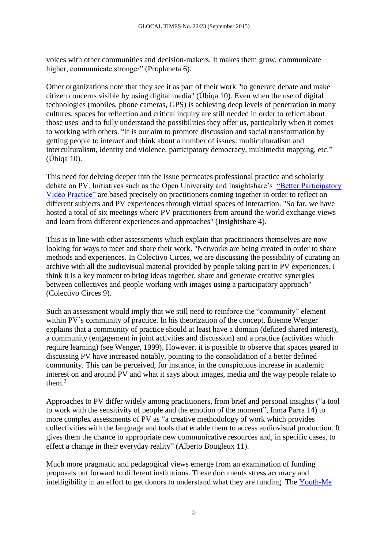voices with other communities and decision-makers. It makes them grow, communicate higher, communicate stronger" (Proplaneta 6).

Other organizations note that they see it as part of their work "to generate debate and make citizen concerns visible by using digital media" (Úbiqa 10). Even when the use of digital technologies (mobiles, phone cameras, GPS) is achieving deep levels of penetration in many cultures, spaces for reflection and critical inquiry are still needed in order to reflect about those uses and to fully understand the possibilities they offer us, particularly when it comes to working with others. "It is our aim to promote discussion and social transformation by getting people to interact and think about a number of issues: multiculturalism and interculturalism, identity and violence, participatory democracy, multimedia mapping, etc." (Úbiqa 10).

This need for delving deeper into the issue permeates professional practice and scholarly debate on PV. Initiatives such as the Open University and Insightshare's "Better Participatory" [Video Practice"](http://betterpvpractice.wordpress.com/) are based precisely on practitioners coming together in order to reflect on different subjects and PV experiences through virtual spaces of interaction. "So far, we have hosted a total of six meetings where PV practitioners from around the world exchange views and learn from different experiences and approaches" (Insightshare 4).

This is in line with other assessments which explain that practitioners themselves are now looking for ways to meet and share their work. "Networks are being created in order to share methods and experiences. In Colectivo Circes, we are discussing the possibility of curating an archive with all the audiovisual material provided by people taking part in PV experiences. I think it is a key moment to bring ideas together, share and generate creative synergies between collectives and people working with images using a participatory approach" (Colectivo Circes 9).

Such an assessment would imply that we still need to reinforce the "community" element within PV's community of practice. In his theorization of the concept, Étienne Wenger explains that a community of practice should at least have a domain (defined shared interest), a community (engagement in joint activities and discussion) and a practice (activities which require learning) (see Wenger, 1999). However, it is possible to observe that spaces geared to discussing PV have increased notably, pointing to the consolidation of a better defined community. This can be perceived, for instance, in the conspicuous increase in academic interest on and around PV and what it says about images, media and the way people relate to them.<sup>3</sup>

Approaches to PV differ widely among practitioners, from brief and personal insights ("a tool to work with the sensitivity of people and the emotion of the moment", Inma Parra 14) to more complex assessments of PV as "a creative methodology of work which provides collectivities with the language and tools that enable them to access audiovisual production. It gives them the chance to appropriate new communicative resources and, in specific cases, to effect a change in their everyday reality" (Alberto Bougleux 11).

Much more pragmatic and pedagogical views emerge from an examination of funding proposals put forward to different institutions. These documents stress accuracy and intelligibility in an effort to get donors to understand what they are funding. The [Youth-Me](http://youthme.eu/en)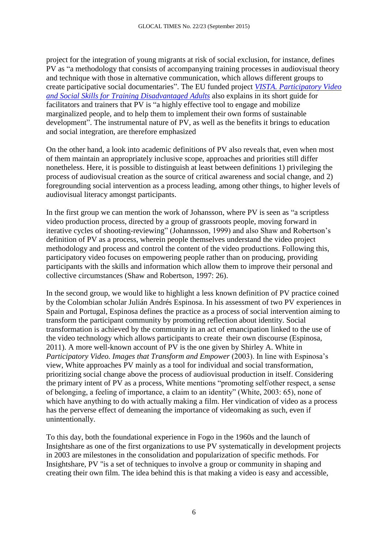project for the integration of young migrants at risk of social exclusion, for instance, defines PV as "a methodology that consists of accompanying training processes in audiovisual theory and technique with those in alternative communication, which allows different groups to create participative social documentaries". The EU funded project *[VISTA. Participatory Video](http://www.montesca.eu/VISTA/?lang=en)  [and Social Skills for Training Disadvantaged Adults](http://www.montesca.eu/VISTA/?lang=en)* also explains in its short guide for facilitators and trainers that PV is "a highly effective tool to engage and mobilize marginalized people, and to help them to implement their own forms of sustainable development". The instrumental nature of PV, as well as the benefits it brings to education and social integration, are therefore emphasized

On the other hand, a look into academic definitions of PV also reveals that, even when most of them maintain an appropriately inclusive scope, approaches and priorities still differ nonetheless. Here, it is possible to distinguish at least between definitions 1) privileging the process of audiovisual creation as the source of critical awareness and social change, and 2) foregrounding social intervention as a process leading, among other things, to higher levels of audiovisual literacy amongst participants.

In the first group we can mention the work of Johansson, where PV is seen as "a scriptless video production process, directed by a group of grassroots people, moving forward in iterative cycles of shooting-reviewing" (Johannsson, 1999) and also Shaw and Robertson's definition of PV as a process, wherein people themselves understand the video project methodology and process and control the content of the video productions. Following this, participatory video focuses on empowering people rather than on producing, providing participants with the skills and information which allow them to improve their personal and collective circumstances (Shaw and Robertson, 1997: 26).

In the second group, we would like to highlight a less known definition of PV practice coined by the Colombian scholar Julián Andrés Espinosa. In his assessment of two PV experiences in Spain and Portugal, Espinosa defines the practice as a process of social intervention aiming to transform the participant community by promoting reflection about identity. Social transformation is achieved by the community in an act of emancipation linked to the use of the video technology which allows participants to create their own discourse (Espinosa, 2011). A more well-known account of PV is the one given by Shirley A. White in *Participatory Video. Images that Transform and Empower* (2003). In line with Espinosa's view, White approaches PV mainly as a tool for individual and social transformation, prioritizing social change above the process of audiovisual production in itself. Considering the primary intent of PV as a process, White mentions "promoting self/other respect, a sense of belonging, a feeling of importance, a claim to an identity" (White, 2003: 65), none of which have anything to do with actually making a film. Her vindication of video as a process has the perverse effect of demeaning the importance of videomaking as such, even if unintentionally.

To this day, both the foundational experience in Fogo in the 1960s and the launch of Insightshare as one of the first organizations to use PV systematically in development projects in 2003 are milestones in the consolidation and popularization of specific methods. For Insightshare, PV "is a set of techniques to involve a group or community in shaping and creating their own film. The idea behind this is that making a video is easy and accessible,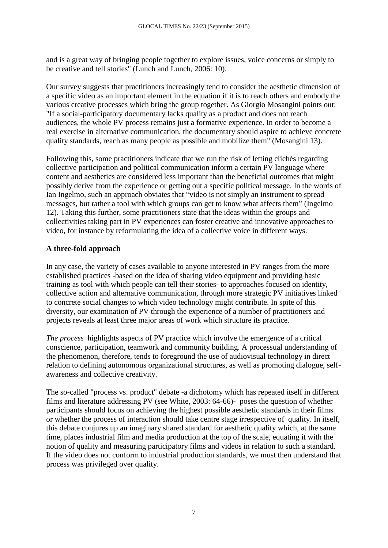and is a great way of bringing people together to explore issues, voice concerns or simply to be creative and tell stories" (Lunch and Lunch, 2006: 10).

Our survey suggests that practitioners increasingly tend to consider the aesthetic dimension of a specific video as an important element in the equation if it is to reach others and embody the various creative processes which bring the group together. As Giorgio Mosangini points out: "If a social-participatory documentary lacks quality as a product and does not reach audiences, the whole PV process remains just a formative experience. In order to become a real exercise in alternative communication, the documentary should aspire to achieve concrete quality standards, reach as many people as possible and mobilize them" (Mosangini 13).

Following this, some practitioners indicate that we run the risk of letting clichés regarding collective participation and political communication inform a certain PV language where content and aesthetics are considered less important than the beneficial outcomes that might possibly derive from the experience or getting out a specific political message. In the words of Ian Ingelmo, such an approach obviates that "video is not simply an instrument to spread messages, but rather a tool with which groups can get to know what affects them" (Ingelmo 12). Taking this further, some practitioners state that the ideas within the groups and collectivities taking part in PV experiences can foster creative and innovative approaches to video, for instance by reformulating the idea of a collective voice in different ways.

## **A three-fold approach**

In any case, the variety of cases available to anyone interested in PV ranges from the more established practices -based on the idea of sharing video equipment and providing basic training as tool with which people can tell their stories- to approaches focused on identity, collective action and alternative communication, through more strategic PV initiatives linked to concrete social changes to which video technology might contribute. In spite of this diversity, our examination of PV through the experience of a number of practitioners and projects reveals at least three major areas of work which structure its practice.

*The process* highlights aspects of PV practice which involve the emergence of a critical conscience, participation, teamwork and community building. A processual understanding of the phenomenon, therefore, tends to foreground the use of audiovisual technology in direct relation to defining autonomous organizational structures, as well as promoting dialogue, selfawareness and collective creativity.

The so-called "process vs. product" debate -a dichotomy which has repeated itself in different films and literature addressing PV (see White, 2003: 64-66)- poses the question of whether participants should focus on achieving the highest possible aesthetic standards in their films or whether the process of interaction should take centre stage irrespective of quality. In itself, this debate conjures up an imaginary shared standard for aesthetic quality which, at the same time, places industrial film and media production at the top of the scale, equating it with the notion of quality and measuring participatory films and videos in relation to such a standard. If the video does not conform to industrial production standards, we must then understand that process was privileged over quality.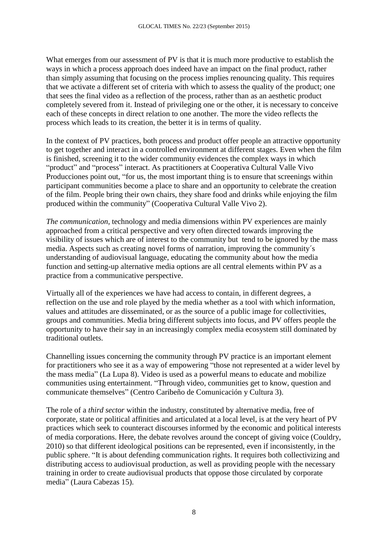What emerges from our assessment of PV is that it is much more productive to establish the ways in which a process approach does indeed have an impact on the final product, rather than simply assuming that focusing on the process implies renouncing quality. This requires that we activate a different set of criteria with which to assess the quality of the product; one that sees the final video as a reflection of the process, rather than as an aesthetic product completely severed from it. Instead of privileging one or the other, it is necessary to conceive each of these concepts in direct relation to one another. The more the video reflects the process which leads to its creation, the better it is in terms of quality.

In the context of PV practices, both process and product offer people an attractive opportunity to get together and interact in a controlled environment at different stages. Even when the film is finished, screening it to the wider community evidences the complex ways in which "product" and "process" interact. As practitioners at Cooperativa Cultural Valle Vivo Producciones point out, "for us, the most important thing is to ensure that screenings within participant communities become a place to share and an opportunity to celebrate the creation of the film. People bring their own chairs, they share food and drinks while enjoying the film produced within the community" (Cooperativa Cultural Valle Vivo 2).

*The communication*, technology and media dimensions within PV experiences are mainly approached from a critical perspective and very often directed towards improving the visibility of issues which are of interest to the community but tend to be ignored by the mass media. Aspects such as creating novel forms of narration, improving the community´s understanding of audiovisual language, educating the community about how the media function and setting-up alternative media options are all central elements within PV as a practice from a communicative perspective.

Virtually all of the experiences we have had access to contain, in different degrees, a reflection on the use and role played by the media whether as a tool with which information, values and attitudes are disseminated, or as the source of a public image for collectivities, groups and communities. Media bring different subjects into focus, and PV offers people the opportunity to have their say in an increasingly complex media ecosystem still dominated by traditional outlets.

Channelling issues concerning the community through PV practice is an important element for practitioners who see it as a way of empowering "those not represented at a wider level by the mass media" (La Lupa 8). Video is used as a powerful means to educate and mobilize communities using entertainment. "Through video, communities get to know, question and communicate themselves" (Centro Caribeño de Comunicación y Cultura 3).

The role of a *third sector* within the industry, constituted by alternative media, free of corporate, state or political affinities and articulated at a local level, is at the very heart of PV practices which seek to counteract discourses informed by the economic and political interests of media corporations. Here, the debate revolves around the concept of giving voice (Couldry, 2010) so that different ideological positions can be represented, even if inconsistently, in the public sphere. "It is about defending communication rights. It requires both collectivizing and distributing access to audiovisual production, as well as providing people with the necessary training in order to create audiovisual products that oppose those circulated by corporate media" (Laura Cabezas 15).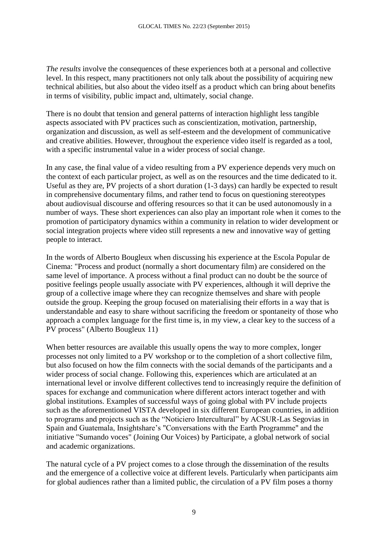*The results* involve the consequences of these experiences both at a personal and collective level. In this respect, many practitioners not only talk about the possibility of acquiring new technical abilities, but also about the video itself as a product which can bring about benefits in terms of visibility, public impact and, ultimately, social change.

There is no doubt that tension and general patterns of interaction highlight less tangible aspects associated with PV practices such as conscientization, motivation, partnership, organization and discussion, as well as self-esteem and the development of communicative and creative abilities. However, throughout the experience video itself is regarded as a tool, with a specific instrumental value in a wider process of social change.

In any case, the final value of a video resulting from a PV experience depends very much on the context of each particular project, as well as on the resources and the time dedicated to it. Useful as they are, PV projects of a short duration (1-3 days) can hardly be expected to result in comprehensive documentary films, and rather tend to focus on questioning stereotypes about audiovisual discourse and offering resources so that it can be used autonomously in a number of ways. These short experiences can also play an important role when it comes to the promotion of participatory dynamics within a community in relation to wider development or social integration projects where video still represents a new and innovative way of getting people to interact.

In the words of Alberto Bougleux when discussing his experience at the Escola Popular de Cinema: "Process and product (normally a short documentary film) are considered on the same level of importance. A process without a final product can no doubt be the source of positive feelings people usually associate with PV experiences, although it will deprive the group of a collective image where they can recognize themselves and share with people outside the group. Keeping the group focused on materialising their efforts in a way that is understandable and easy to share without sacrificing the freedom or spontaneity of those who approach a complex language for the first time is, in my view, a clear key to the success of a PV process" (Alberto Bougleux 11)

When better resources are available this usually opens the way to more complex, longer processes not only limited to a PV workshop or to the completion of a short collective film, but also focused on how the film connects with the social demands of the participants and a wider process of social change. Following this, experiences which are articulated at an international level or involve different collectives tend to increasingly require the definition of spaces for exchange and communication where different actors interact together and with global institutions. Examples of successful ways of going global with PV include projects such as the aforementioned VISTA developed in six different European countries, in addition to programs and projects such as the "Noticiero Intercultural" by ACSUR-Las Segovias in Spain and Guatemala, Insightshare's "Conversations with the Earth Programme" and the initiative "Sumando voces" (Joining Our Voices) by Participate, a global network of social and academic organizations.

The natural cycle of a PV project comes to a close through the dissemination of the results and the emergence of a collective voice at different levels. Particularly when participants aim for global audiences rather than a limited public, the circulation of a PV film poses a thorny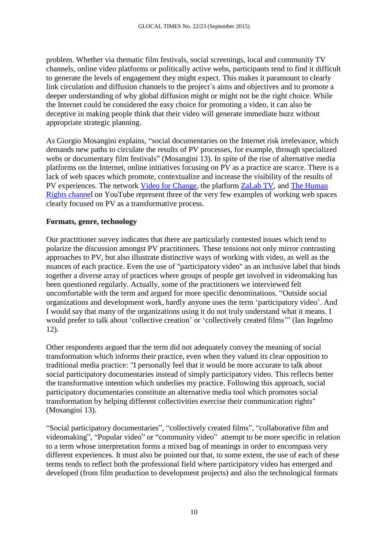problem. Whether via thematic film festivals, social screenings, local and community TV channels, online video platforms or politically active webs, participants tend to find it difficult to generate the levels of engagement they might expect. This makes it paramount to clearly link circulation and diffusion channels to the project's aims and objectives and to promote a deeper understanding of why global diffusion might or might not be the right choice. While the Internet could be considered the easy choice for promoting a video, it can also be deceptive in making people think that their video will generate immediate buzz without appropriate strategic planning.

As Giorgio Mosangini explains, "social documentaries on the Internet risk irrelevance, which demands new paths to circulate the results of PV processes, for example, through specialized webs or documentary film festivals" (Mosangini 13). In spite of the rise of alternative media platforms on the Internet, online initiatives focusing on PV as a practice are scarce. There is a lack of web spaces which promote, contextualize and increase the visibility of the results of PV experiences. The network [Video for Change,](http://www.v4c.org/) the platform [ZaLab TV,](http://www.zalab.org/) and [The Human](https://www.youtube.com/user/humanrights)  [Rights channel](https://www.youtube.com/user/humanrights) on YouTube represent three of the very few examples of working web spaces clearly focused on PV as a transformative process.

# **Formats, genre, technology**

Our practitioner survey indicates that there are particularly contested issues which tend to polarize the discussion amongst PV practitioners. These tensions not only mirror contrasting approaches to PV, but also illustrate distinctive ways of working with video, as well as the nuances of each practice. Even the use of "participatory video" as an inclusive label that binds together a diverse array of practices where groups of people get involved in videomaking has been questioned regularly. Actually, some of the practitioners we interviewed felt uncomfortable with the term and argued for more specific denominations. "Outside social organizations and development work, hardly anyone uses the term 'participatory video'. And I would say that many of the organizations using it do not truly understand what it means. I would prefer to talk about 'collective creation' or 'collectively created films'" (Ian Ingelmo 12).

Other respondents argued that the term did not adequately convey the meaning of social transformation which informs their practice, even when they valued its clear opposition to traditional media practice: "I personally feel that it would be more accurate to talk about social participatory documentaries instead of simply participatory video. This reflects better the transformative intention which underlies my practice. Following this approach, social participatory documentaries constitute an alternative media tool which promotes social transformation by helping different collectivities exercise their communication rights" (Mosangini 13).

"Social participatory documentaries", "collectively created films", "collaborative film and videomaking", "Popular video" or "community video" attempt to be more specific in relation to a term whose interpretation forms a mixed bag of meanings in order to encompass very different experiences. It must also be pointed out that, to some extent, the use of each of these terms tends to reflect both the professional field where participatory video has emerged and developed (from film production to development projects) and also the technological formats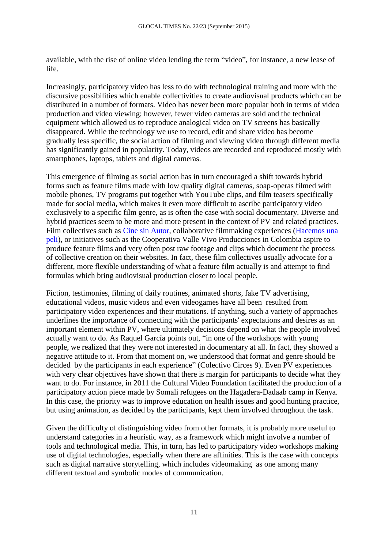available, with the rise of online video lending the term "video", for instance, a new lease of life.

Increasingly, participatory video has less to do with technological training and more with the discursive possibilities which enable collectivities to create audiovisual products which can be distributed in a number of formats. Video has never been more popular both in terms of video production and video viewing; however, fewer video cameras are sold and the technical equipment which allowed us to reproduce analogical video on TV screens has basically disappeared. While the technology we use to record, edit and share video has become gradually less specific, the social action of filming and viewing video through different media has significantly gained in popularity. Today, videos are recorded and reproduced mostly with smartphones, laptops, tablets and digital cameras.

This emergence of filming as social action has in turn encouraged a shift towards hybrid forms such as feature films made with low quality digital cameras, soap-operas filmed with mobile phones, TV programs put together with YouTube clips, and film teasers specifically made for social media, which makes it even more difficult to ascribe participatory video exclusively to a specific film genre, as is often the case with social documentary. Diverse and hybrid practices seem to be more and more present in the context of PV and related practices. Film collectives such as [Cine sin Autor,](http://www.cinesinautor.es/) collaborative filmmaking experiences [\(Hacemos una](http://hacemosunapeli.wordpress.com/)  [peli\)](http://hacemosunapeli.wordpress.com/), or initiatives such as the Cooperativa Valle Vivo Producciones in Colombia aspire to produce feature films and very often post raw footage and clips which document the process of collective creation on their websites. In fact, these film collectives usually advocate for a different, more flexible understanding of what a feature film actually is and attempt to find formulas which bring audiovisual production closer to local people.

Fiction, testimonies, filming of daily routines, animated shorts, fake TV advertising, educational videos, music videos and even videogames have all been resulted from participatory video experiences and their mutations. If anything, such a variety of approaches underlines the importance of connecting with the participants' expectations and desires as an important element within PV, where ultimately decisions depend on what the people involved actually want to do. As Raquel García points out, "in one of the workshops with young people, we realized that they were not interested in documentary at all. In fact, they showed a negative attitude to it. From that moment on, we understood that format and genre should be decided by the participants in each experience" (Colectivo Circes 9). Even PV experiences with very clear objectives have shown that there is margin for participants to decide what they want to do. For instance, in 2011 the Cultural Video Foundation facilitated the production of a participatory action piece made by Somali refugees on the Hagadera-Dadaab camp in Kenya. In this case, the priority was to improve education on health issues and good hunting practice, but using animation, as decided by the participants, kept them involved throughout the task.

Given the difficulty of distinguishing video from other formats, it is probably more useful to understand categories in a heuristic way, as a framework which might involve a number of tools and technological media. This, in turn, has led to participatory video workshops making use of digital technologies, especially when there are affinities. This is the case with concepts such as digital narrative storytelling, which includes videomaking as one among many different textual and symbolic modes of communication.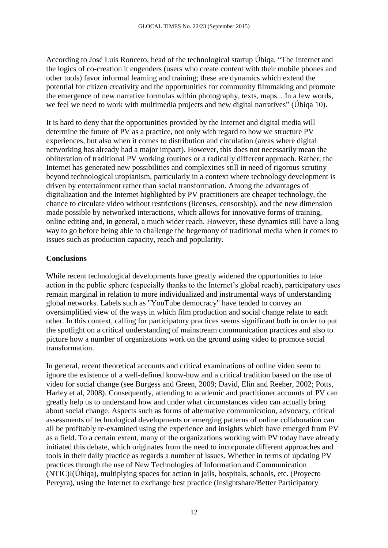According to José Luis Roncero, head of the technological startup Úbiqa, "The Internet and the logics of co-creation it engenders (users who create content with their mobile phones and other tools) favor informal learning and training; these are dynamics which extend the potential for citizen creativity and the opportunities for community filmmaking and promote the emergence of new narrative formulas within photography, texts, maps... In a few words, we feel we need to work with multimedia projects and new digital narratives" (Úbiqa 10).

It is hard to deny that the opportunities provided by the Internet and digital media will determine the future of PV as a practice, not only with regard to how we structure PV experiences, but also when it comes to distribution and circulation (areas where digital networking has already had a major impact). However, this does not necessarily mean the obliteration of traditional PV working routines or a radically different approach. Rather, the Internet has generated new possibilities and complexities still in need of rigorous scrutiny beyond technological utopianism, particularly in a context where technology development is driven by entertainment rather than social transformation. Among the advantages of digitalization and the Internet highlighted by PV practitioners are cheaper technology, the chance to circulate video without restrictions (licenses, censorship), and the new dimension made possible by networked interactions, which allows for innovative forms of training, online editing and, in general, a much wider reach. However, these dynamics still have a long way to go before being able to challenge the hegemony of traditional media when it comes to issues such as production capacity, reach and popularity.

### **Conclusions**

While recent technological developments have greatly widened the opportunities to take action in the public sphere (especially thanks to the Internet's global reach), participatory uses remain marginal in relation to more individualized and instrumental ways of understanding global networks. Labels such as "YouTube democracy" have tended to convey an oversimplified view of the ways in which film production and social change relate to each other. In this context, calling for participatory practices seems significant both in order to put the spotlight on a critical understanding of mainstream communication practices and also to picture how a number of organizations work on the ground using video to promote social transformation.

In general, recent theoretical accounts and critical examinations of online video seem to ignore the existence of a well-defined know-how and a critical tradition based on the use of video for social change (see Burgess and Green, 2009; David, Elin and Reeher, 2002; Potts, Harley et al, 2008). Consequently, attending to academic and practitioner accounts of PV can greatly help us to understand how and under what circumstances video can actually bring about social change. Aspects such as forms of alternative communication, advocacy, critical assessments of technological developments or emerging patterns of online collaboration can all be profitably re-examined using the experience and insights which have emerged from PV as a field. To a certain extent, many of the organizations working with PV today have already initiated this debate, which originates from the need to incorporate different approaches and tools in their daily practice as regards a number of issues. Whether in terms of updating PV practices through the use of New Technologies of Information and Communication (NTIC)I(Úbiqa), multiplying spaces for action in jails, hospitals, schools, etc. (Proyecto Pereyra), using the Internet to exchange best practice (Insightshare/Better Participatory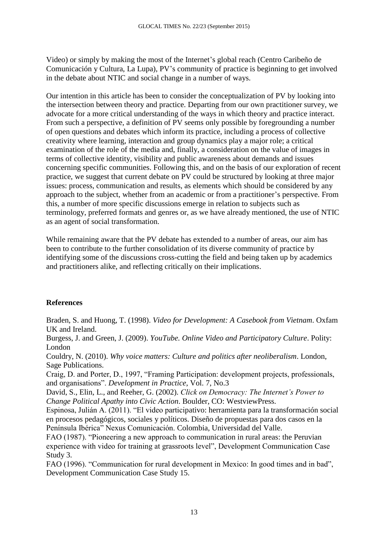Video) or simply by making the most of the Internet's global reach (Centro Caribeño de Comunicación y Cultura, La Lupa), PV's community of practice is beginning to get involved in the debate about NTIC and social change in a number of ways.

Our intention in this article has been to consider the conceptualization of PV by looking into the intersection between theory and practice. Departing from our own practitioner survey, we advocate for a more critical understanding of the ways in which theory and practice interact. From such a perspective, a definition of PV seems only possible by foregrounding a number of open questions and debates which inform its practice, including a process of collective creativity where learning, interaction and group dynamics play a major role; a critical examination of the role of the media and, finally, a consideration on the value of images in terms of collective identity, visibility and public awareness about demands and issues concerning specific communities. Following this, and on the basis of our exploration of recent practice, we suggest that current debate on PV could be structured by looking at three major issues: process, communication and results, as elements which should be considered by any approach to the subject, whether from an academic or from a practitioner's perspective. From this, a number of more specific discussions emerge in relation to subjects such as terminology, preferred formats and genres or, as we have already mentioned, the use of NTIC as an agent of social transformation.

While remaining aware that the PV debate has extended to a number of areas, our aim has been to contribute to the further consolidation of its diverse community of practice by identifying some of the discussions cross-cutting the field and being taken up by academics and practitioners alike, and reflecting critically on their implications.

# **References**

Braden, S. and Huong, T. (1998). *Video for Development: A Casebook from Vietnam*. Oxfam UK and Ireland.

Burgess, J. and Green, J. (2009). *YouTube. Online Video and Participatory Culture*. Polity: London

Couldry, N. (2010). *Why voice matters: Culture and politics after neoliberalism*. London, Sage Publications.

Craig, D. and Porter, D., 1997, "Framing Participation: development projects, professionals, and organisations". *Development in Practice*, Vol. 7, No.3

David, S., Elin, L., and Reeher, G. (2002). *Click on Democracy: The Internet's Power to Change Political Apathy into Civic Action*. Boulder, CO: WestviewPress.

Espinosa, Julián A. (2011). "El video participativo: herramienta para la transformación social en procesos pedagógicos, sociales y políticos. Diseño de propuestas para dos casos en la Península Ibérica" Nexus Comunicación. Colombia, Universidad del Valle.

FAO (1987). "Pioneering a new approach to communication in rural areas: the Peruvian experience with video for training at grassroots level", Development Communication Case Study 3.

FAO (1996). "Communication for rural development in Mexico: In good times and in bad", Development Communication Case Study 15.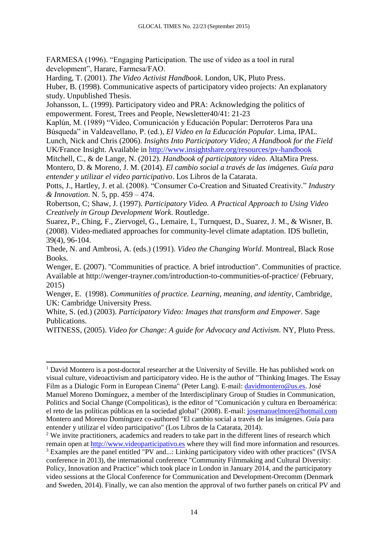FARMESA (1996). "Engaging Participation. The use of video as a tool in rural development", Harare, Farmesa/FAO.

Harding, T. (2001). *The Video Activist Handbook*. London, UK, Pluto Press. Huber, B. (1998). Communicative aspects of participatory video projects: An explanatory study. Unpublished Thesis.

Johansson, L. (1999). Participatory video and PRA: Acknowledging the politics of empowerment. Forest, Trees and People, Newsletter40/41: 21-23

Kaplún, M. (1989) "Video, Comunicación y Educación Popular: Derroteros Para una Búsqueda" in Valdeavellano, P. (ed.), *El Video en la Educación Popular*. Lima, IPAL.

Lunch, Nick and Chris (2006). *Insights Into Participatory Video; A Handbook for the Field* UK/France Insight. Available in<http://www.insightshare.org/resources/pv-handbook>

Mitchell, C., & de Lange, N. (2012). *Handbook of participatory video*. AltaMira Press.

Montero, D. & Moreno, J. M. (2014). *El cambio social a través de las imágenes. Guía para entender y utilizar el video participativo*. Los Libros de la Catarata.

Potts, J., Hartley, J. et al. (2008). "Consumer Co-Creation and Situated Creativity." *Industry & Innovation*. N. 5, pp. 459 – 474.

Robertson, C; Shaw, J. (1997). *Participatory Video. A Practical Approach to Using Video Creatively in Group Development Work*. Routledge.

Suarez, P., Ching, F., Ziervogel, G., Lemaire, I., Turnquest, D., Suarez, J. M., & Wisner, B. (2008). Video‐mediated approaches for community‐level climate adaptation. IDS bulletin, 39(4), 96-104.

Thede, N. and Ambrosi, A. (eds.) (1991). *Video the Changing World*. Montreal, Black Rose Books.

Wenger, E. (2007). "Communities of practice. A brief introduction". Communities of practice. Available at http://wenger-trayner.com/introduction-to-communities-of-practice/ (February, 2015)

Wenger, E. (1998). *Communities of practice. Learning, meaning, and identity*, Cambridge, UK: Cambridge University Press.

White, S. (ed.) (2003). *Participatory Video: Images that transform and Empower*. Sage Publications.

 $\overline{\phantom{a}}$ 

WITNESS, (2005). *Video for Change: A guide for Advocacy and Activism*. NY, Pluto Press.

<sup>1</sup> David Montero is a post-doctoral researcher at the University of Seville. He has published work on visual culture, videoactivism and participatory video. He is the author of "Thinking Images. The Essay Film as a Dialogic Form in European Cinema" (Peter Lang). E-mail: [davidmontero@us.es.](davidmontero@us.es%20) José Manuel Moreno Domínguez, a member of the Interdisciplinary Group of Studies in Communication, Politics and Social Change (Compoliticas), is the editor of "Comunicación y cultura en Iberoamérica: el reto de las políticas públicas en la sociedad global" (2008). E-mail:<josemanuelmore@hotmail.com> Montero and Moreno Domínguez co-authored "El cambio social a través de las imágenes. Guía para entender y utilizar el vídeo participativo" (Los Libros de la Catarata, 2014).

<sup>2</sup> We invite practitioners, academics and readers to take part in the different lines of research which remain open at [http://www.videoparticipativo.es](http://www.videoparticipativo.es/) where they will find more information and resources. <sup>3</sup> Examples are the panel entitled "PV and...: Linking participatory video with other practices" (IVSA conference in 2013), the international conference "Community Filmmaking and Cultural Diversity: Policy, Innovation and Practice" which took place in London in January 2014, and the participatory video sessions at the Glocal Conference for Communication and Development-Orecomm (Denmark and Sweden, 2014). Finally, we can also mention the approval of two further panels on critical PV and